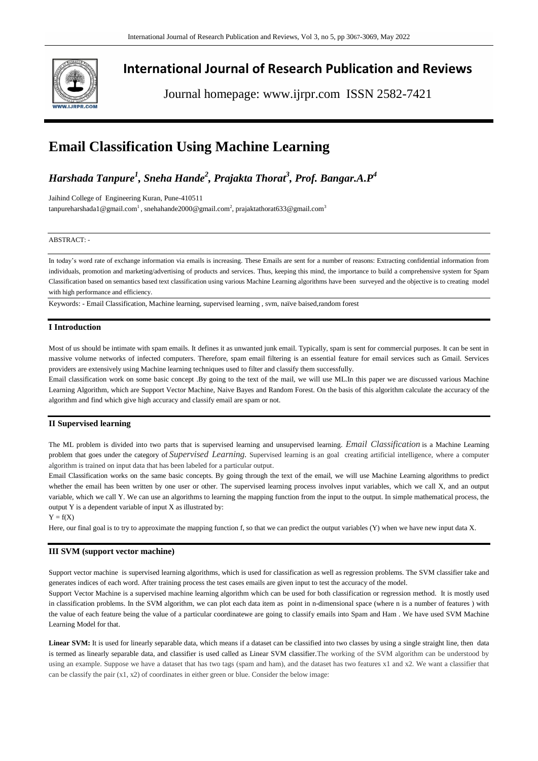

# **International Journal of Research Publication and Reviews**

Journal homepage: www.ijrpr.com ISSN 2582-7421

# **Email Classification Using Machine Learning**

# *Harshada Tanpure<sup>1</sup> , Sneha Hande<sup>2</sup> , Prajakta Thorat<sup>3</sup> , Prof. Bangar.A.P<sup>4</sup>*

Jaihind College of Engineering Kuran, Pune-410511 tanpureharshada1@gmail.com<sup>1</sup>, snehahande2000@gmail.com<sup>2</sup>, prajaktathorat633@gmail.com<sup>3</sup>

#### ABSTRACT: -

In today's word rate of exchange information via emails is increasing. These Emails are sent for a number of reasons: Extracting confidential information from individuals, promotion and marketing/advertising of products and services. Thus, keeping this mind, the importance to build a comprehensive system for Spam Classification based on semantics based text classification using various Machine Learning algorithms have been surveyed and the objective is to creating model with high performance and efficiency.

Keywords: - Email Classification, Machine learning, supervised learning , svm, naïve baised,random forest

### **I Introduction**

Most of us should be intimate with spam emails. It defines it as unwanted junk email. Typically, spam is sent for commercial purposes. It can be sent in massive volume networks of infected computers. Therefore, spam email filtering is an essential feature for email services such as Gmail. Services providers are extensively using Machine learning techniques used to filter and classify them successfully.

Email classification work on some basic concept .By going to the text of the mail, we will use ML.In this paper we are discussed various Machine Learning Algorithm, which are Support Vector Machine, Naive Bayes and Random Forest. On the basis of this algorithm calculate the accuracy of the algorithm and find which give high accuracy and classify email are spam or not.

### **II Supervised learning**

The ML problem is divided into two parts that is supervised learning and unsupervised learning. *Email Classification* is a Machine Learning problem that goes under the category of *Supervised Learning.* Supervised learning is an goal creating artificial intelligence, where a computer algorithm is trained on input data that has been labeled for a particular output.

Email Classification works on the same basic concepts. By going through the text of the email, we will use Machine Learning algorithms to predict whether the email has been written by one user or other. The supervised learning process involves input variables, which we call X, and an output variable, which we call Y. We can use an algorithms to learning the mapping function from the input to the output. In simple mathematical process, the output Y is a dependent variable of input X as illustrated by:

 $Y = f(X)$ 

Here, our final goal is to try to approximate the mapping function f, so that we can predict the output variables (Y) when we have new input data X.

## **III SVM (support vector machine)**

Support vector machine is supervised learning algorithms, which is used for classification as well as regression problems. The SVM classifier take and generates indices of each word. After training process the test cases emails are given input to test the accuracy of the model.

Support Vector Machine is a supervised machine learning algorithm which can be used for both classification or regression method. It is mostly used in classification problems. In the SVM algorithm, we can plot each data item as point in n-dimensional space (where n is a number of features ) with the value of each feature being the value of a particular coordinatewe are going to classify emails into Spam and Ham . We have used SVM Machine Learning Model for that.

Linear SVM: It is used for linearly separable data, which means if a dataset can be classified into two classes by using a single straight line, then data is termed as linearly separable data, and classifier is used called as Linear SVM classifier.The working of the SVM algorithm can be understood by using an example. Suppose we have a dataset that has two tags (spam and ham), and the dataset has two features x1 and x2. We want a classifier that can be classify the pair  $(x1, x2)$  of coordinates in either green or blue. Consider the below image: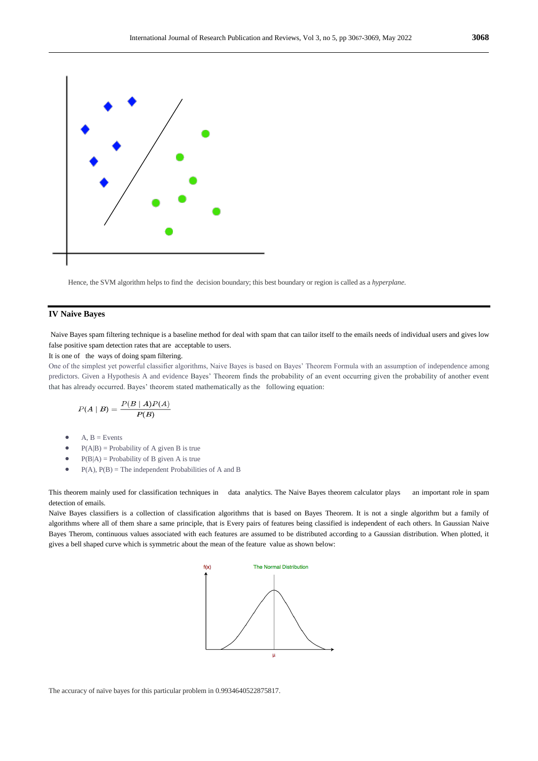

Hence, the SVM algorithm helps to find the decision boundary; this best boundary or region is called as a *hyperplane*.

### **IV Naive Bayes**

Naive Bayes spam filtering technique is a baseline method for deal with spam that can tailor itself to the emails needs of individual users and gives low false positive spam detection rates that are acceptable to users.

### It is one of the ways of doing spam filtering.

One of the simplest yet powerful classifier algorithms, Naive Bayes is based on Bayes' Theorem Formula with an assumption of independence among predictors. Given a Hypothesis A and evidence Bayes' Theorem finds the probability of an event occurring given the probability of another event that has already occurred. Bayes' theorem stated mathematically as the following equation:

$$
P(A \mid B) = \frac{P(B \mid A)P(A)}{P(B)}
$$

- $A, B = Events$
- $P(A|B) =$  Probability of A given B is true
- $P(B|A) =$  Probability of B given A is true
- $P(A), P(B)$  = The independent Probabilities of A and B

This theorem mainly used for classification techniques in data analytics. The Naive Bayes theorem calculator plays an important role in spam detection of emails.

Naïve Bayes classifiers is a collection of classification algorithms that is based on Bayes Theorem. It is not a single algorithm but a family of algorithms where all of them share a same principle, that is Every pairs of features being classified is independent of each others. In Gaussian Naive Bayes Therom, continuous values associated with each features are assumed to be distributed according to a Gaussian distribution. When plotted, it gives a bell shaped curve which is symmetric about the mean of the feature value as shown below:



The accuracy of naïve bayes for this particular problem in 0.9934640522875817.